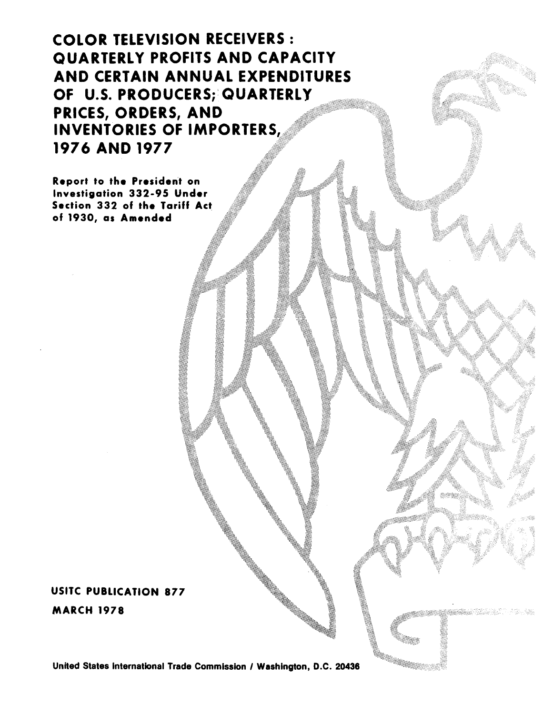COLOR TELEVISION RECEIVERS : QUARTERLY PROFITS AND CAPACITY AND CERTAIN ANNUAL EXPENDITURES OF U.S. PRODUCERS;' QUARTERLY PRICES, ORDERS, AND INVENTORIES OF IMPORTERS, 1976 AND 1977

Report to the President on Investigation 332-95 Under Section 332 of the Tariff Act of 1930, as Amended

## USITC PUBLICATION 877

MARCH 1978

United States International Trade Commission / Washington, D.C. 20436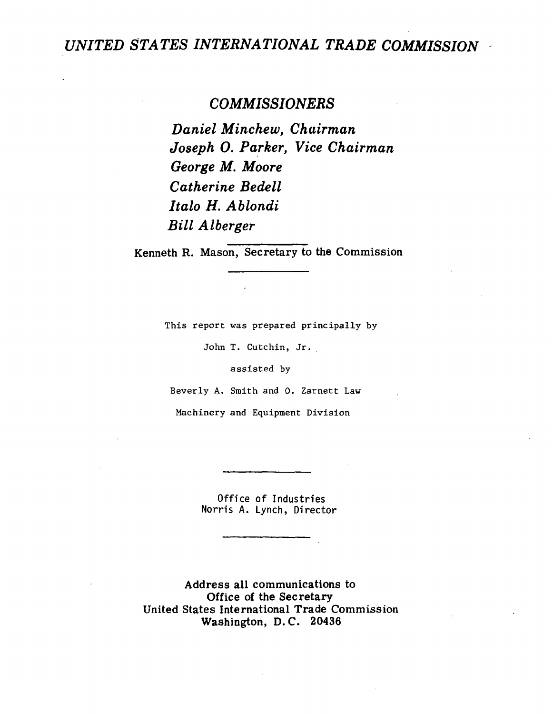## UNITED STATES INTERNATIONAL TRADE COMMISSION **-**

### *COMMISSIONERS*

*Daniel Minchew, Chairman Joseph* 0. *Pa\_rker, Vice Chairman George M. Moore Catherine Bedell Italo H. Ablondi Bill Alberger* 

Kenneth R. Mason, Secretary to the Commission

This report was prepared principally by

John T. Cutchin, Jr.

assisted by

Beverly A. Smith and 0. Zarnett Law

Machinery and Equipment Division

Office of Industries Norris A. Lynch, Director

Address all communications to Office of the Secretary United States International Trade Commission Washington, D. C. 20436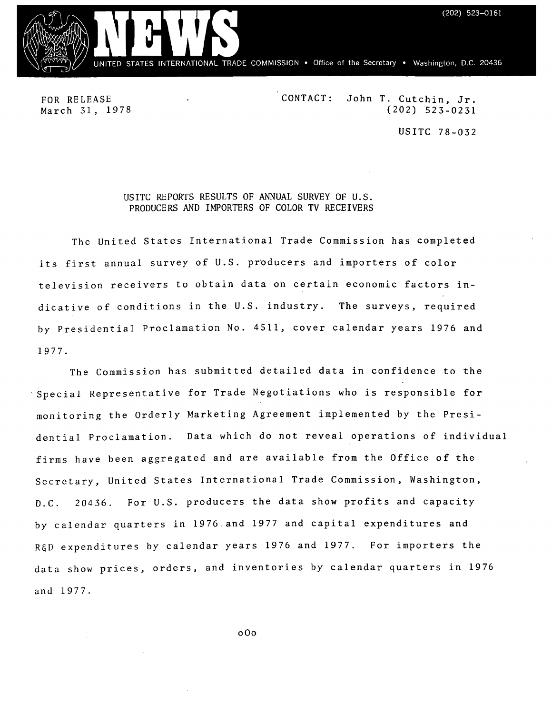$(202)$  523-0161



FOR RELEASE March 31, 1978 CONTACT: John T. Cutchin, Jr. (202) 523-0231 USITC 78-032

#### USITC REPORTS RESULTS OF ANNUAL SURVEY OF U.S. PRODUCERS AND IMPORTERS OF COLOR TV RECEIVERS

The United States International Trade Commission has completed its first annual survey of U.S. producers and importers of color television receivers to obtain data on certain economic factors indicative of conditions in the U.S. industry. The surveys, required by Presidential Proclamation No. 4511, cover calendar years 1976 and 1977.

The Commission has submitted detailed data in confidence to the Special Representative for Trade Negotiations who is responsible for monitoring the Orderly Marketing Agreement implemented by the Presidential Proclamation. Data which do not reveal operations of individual firms have been aggregated and are available from the Office of the Secretary, United States International Trade Commission, Washington, D.C. 20436. For U.S. producers the data show profits and capacity by calendar quarters in 1976 and 1977 and capital expenditures and R&D expenditures by calendar years 1976 and 1977. For importers the data show prices, orders, and inventories by calendar quarters in 1976 and 1977.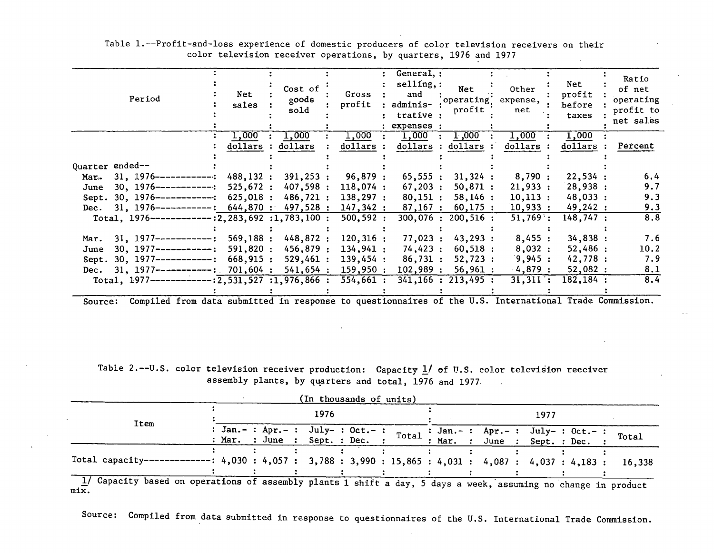| Period                                                       | Net<br>sales | Cost of<br>goods<br>sold | Gross<br>profit        | General, :<br>$\text{selling},:$<br>and<br>adminis-<br>trative :<br>expenses : | <b>Net</b><br>operating.<br>profit | Other<br>expense,<br>net | Net<br>profit<br>before<br>taxes | Ratio<br>of net<br>operating<br>profit to<br>net sales |
|--------------------------------------------------------------|--------------|--------------------------|------------------------|--------------------------------------------------------------------------------|------------------------------------|--------------------------|----------------------------------|--------------------------------------------------------|
|                                                              | 1,000        | 1,000                    | 1,000                  | 1,000                                                                          | 1,000                              | 1,000                    | 1,000                            |                                                        |
|                                                              | dollars      | dollars                  | dollars                | dollars                                                                        | dollars                            | dollars                  | dollars                          | Percent                                                |
|                                                              |              |                          |                        |                                                                                |                                    |                          |                                  |                                                        |
| Quarter ended--                                              |              |                          |                        |                                                                                |                                    |                          |                                  |                                                        |
| $31, 1976$ ------------:<br>Mar.                             | 488,132 :    | 391,253:                 | 96,879:                | 65,555:                                                                        | 31,324:                            | 8,790:                   | 22,534:                          | 6.4                                                    |
| $30, 1976$ ------------:<br>June                             | 525,672:     | 407,598:                 | 118,074:               | 67,203:                                                                        | $50,871$ :                         | 21,933:                  | 28,938:                          | 9.7                                                    |
| $30, 1976 \text{---} \text{---} \text{---} \text{}$<br>Sept. | 625,018:     | 486,721 :                | 138,297:               | 80,151:                                                                        | 58,146:                            | 10,113:                  | 48,033:                          | 9.3                                                    |
| $31.1976$ ------------:<br>Dec.                              | $644,870$ :  | 497,528 :                | 147,342:               | 87,167:                                                                        | 60,175:                            | 10,933:                  | 49,242:                          | 9.3                                                    |
| Total, $1976$ -------------: 2, 283, 692 : 1, 783, 100 :     |              |                          | 500, 592:              |                                                                                | 300,076:200,516:                   | $51,769$ :               | 148,747:                         | 8.8                                                    |
|                                                              |              |                          |                        |                                                                                |                                    |                          |                                  |                                                        |
| $31.1977---------$<br>Mar.                                   | 569,188:     | 448,872 :                | 120,316:               | 77,023:                                                                        | 43,293:                            | 8,455:                   | 34,838:                          | 7.6                                                    |
| $30.1977$ ------------:<br>June                              | 591,820:     | 456,879 :                | 134,941:               | 74,423:                                                                        | 60,518:                            | 8,032:                   | 52,486:                          | 10.2                                                   |
| $30, 1977$ ------------:<br>Sept.                            | 668,915:     | 529,461:                 | 139,454:               | 86,731:                                                                        | 52,723:                            | 9,945:                   | 42,778:                          | 7.9                                                    |
| $31, 1977$ -----------: 701,604:<br>Dec.                     |              | 541,654:                 | 159,950:               | 102,989:                                                                       | 56,961:                            | 4,879:                   | 52,082:                          | 8.1                                                    |
| Total, $1977$ ------------:2,531,527 :1,976,866 :            |              |                          | $\overline{554,661}$ : |                                                                                | 341, 166 : 213, 495 :              | 31,311:                  | 182,184 :                        | 8.4                                                    |
|                                                              |              |                          |                        |                                                                                |                                    |                          |                                  |                                                        |

Table 1.--Profit-and-loss experience of domestic producers of color television receivers on their color television receiver operations, by quarters, 1976 and 1977

Source: Compiled from data submitted in response to questionnaires of the U.S. International Trade Commission.

Table 2.--U.S. color television receiver production: Capacity  $1/$  of U.S. color television receiver assembly plants, by quarters and total, 1976 and 1977.  $\sim 10^7$ 

| (In thousands of units)                                                                                        |  |      |  |  |  |                                                                           |  |      |  |  |  |  |                                                                                   |  |  |  |  |  |        |
|----------------------------------------------------------------------------------------------------------------|--|------|--|--|--|---------------------------------------------------------------------------|--|------|--|--|--|--|-----------------------------------------------------------------------------------|--|--|--|--|--|--------|
|                                                                                                                |  | 1976 |  |  |  |                                                                           |  | 1977 |  |  |  |  |                                                                                   |  |  |  |  |  |        |
| Item                                                                                                           |  |      |  |  |  | : $Jan. - : Apr. - : July - : Oct. - :$<br>: Mar. : June : Sept. : Dec. : |  |      |  |  |  |  | Total : Jan.-: Apr.-: July-: Oct.-: Total<br>: Mar. : June : Sept. : Dec. : Total |  |  |  |  |  |        |
| Total capacity------------: 4,030: 4,057: 3,788: 3,990: 15,865: 4,031: 4,087: 4,037: 4,183:                    |  |      |  |  |  |                                                                           |  |      |  |  |  |  |                                                                                   |  |  |  |  |  | 16.338 |
| 1/ Capacity based on operations of assembly plants 1 shift a day. 5 days a week, assuming no change in product |  |      |  |  |  |                                                                           |  |      |  |  |  |  |                                                                                   |  |  |  |  |  |        |

mix.

Source: Compiled from data submitted in response to questionnaires of the U.S. International Trade Commission.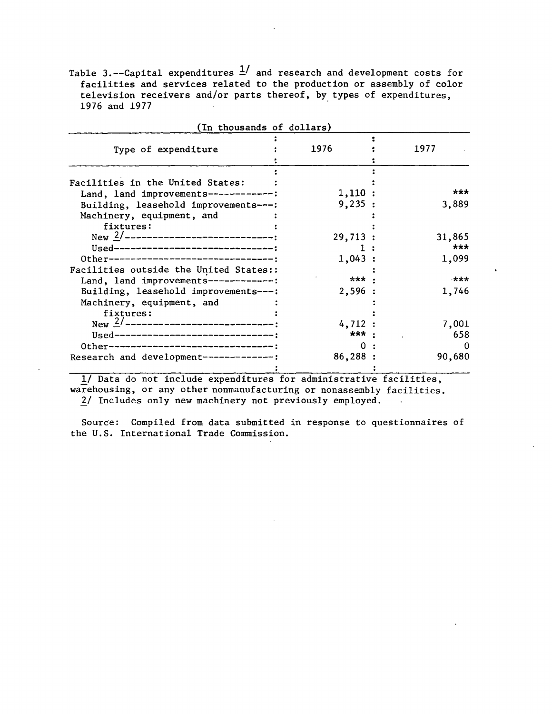Table 3.--Capital expenditures  $\frac{1}{s}$  and research and development costs for facilities and services related to the production or assembly of color television receivers and/or parts thereof, by types of expenditures, 1976 and 1977

| (In thousands of dollars)                                                                                  |                  |       |               |
|------------------------------------------------------------------------------------------------------------|------------------|-------|---------------|
| Type of expenditure                                                                                        | 1976             |       | 1977          |
| Facilities in the United States:                                                                           |                  |       |               |
| Land, land improvements-------------:<br>Building, leasehold improvements---:                              | 1,110:<br>9,235: |       | ***<br>3,889  |
| Machinery, equipment, and<br>fixtures:                                                                     |                  |       |               |
| Used--------------------------------;                                                                      | 29,713:          |       | 31,865<br>*** |
| 0ther-------------------------------<br>Facilities outside the United States::                             | 1,043:           | *** . | 1,099<br>***  |
| Land, land improvements-------------:<br>Building, leasehold improvements---:<br>Machinery, equipment, and | 2,596:           |       | 1,746         |
| fixtures:<br>New $2/$ -----------------------------                                                        | 4,712:           |       | 7,001         |
| Used---------------------------------;<br>Other---------------------------------                           |                  | *** . | 658           |
| Research and development --------------                                                                    | 86,288:          |       | 90,680        |

1/ Data do not include expenditures for administrative facilities, warehousing, or any other nonmanufacturing or nonassembly facilities. 2/ Includes only new machinery not previously employed.

Source: Compiled from data submitted in response to questionnaires of the U.S. International Trade Commission.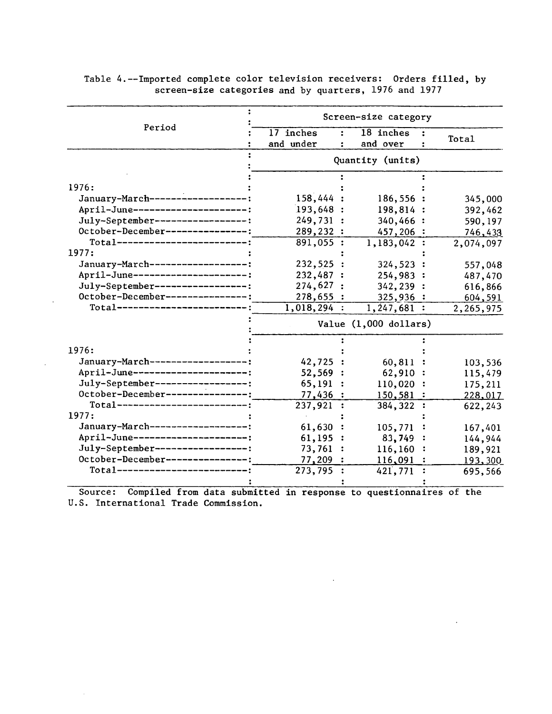|                                      | Screen-size category     |              |                |           |  |  |  |  |  |  |
|--------------------------------------|--------------------------|--------------|----------------|-----------|--|--|--|--|--|--|
| Period                               | 17 inches<br>÷           | 18 inches    |                |           |  |  |  |  |  |  |
|                                      | and under                | and over     |                | Total     |  |  |  |  |  |  |
|                                      | Quantity (units)         |              |                |           |  |  |  |  |  |  |
|                                      |                          |              |                |           |  |  |  |  |  |  |
| 1976:                                |                          |              |                |           |  |  |  |  |  |  |
| January-March-------------------:    | 158,444 :                | 186,556 :    |                | 345,000   |  |  |  |  |  |  |
| April-June---------------------:     | 193,648 :                | 198,814 :    |                | 392,462   |  |  |  |  |  |  |
| July-September------------------:    | 249,731:                 | 340,466:     |                | 590, 197  |  |  |  |  |  |  |
| October-December---------------:     | 289,232 :                | 457,206:     |                | 746,433   |  |  |  |  |  |  |
| Total--------------------------      | 891,055:                 | 1,183,042:   |                | 2,074,097 |  |  |  |  |  |  |
| 1977:                                |                          |              |                |           |  |  |  |  |  |  |
| January-March------------------:     | 232,525 :                | 324,523:     |                | 557,048   |  |  |  |  |  |  |
| April-June---------------------;     | 232,487 :                | 254,983      |                | 487,470   |  |  |  |  |  |  |
| July-September-----------------:     | 274,627:                 | 342, 239:    |                | 616,866   |  |  |  |  |  |  |
| October-December---------------:     | 278,655:                 | 325,936:     |                | 604,591   |  |  |  |  |  |  |
| $Total$ ---------------------------; | $1,018,294$ :            | 1, 247, 681: |                | 2,265,975 |  |  |  |  |  |  |
|                                      | Value (1,000 dollars)    |              |                |           |  |  |  |  |  |  |
|                                      |                          |              |                |           |  |  |  |  |  |  |
| 1976:                                |                          |              |                |           |  |  |  |  |  |  |
| January-March------------------:     | 42,725 :                 | 60,811       |                | 103,536   |  |  |  |  |  |  |
| April-June---------------------:     | 52,569:                  | 62,910       |                | 115,479   |  |  |  |  |  |  |
| July-September-----------------:     | 65,191<br>$\ddot{\cdot}$ | 110,020      |                | 175,211   |  |  |  |  |  |  |
| October-December---------------      | 77,436                   | 150,581      |                | 228,017   |  |  |  |  |  |  |
| Total---------------------------     | 237,921 :                | 384, 322 :   |                | 622, 243  |  |  |  |  |  |  |
| 1977:                                |                          |              |                |           |  |  |  |  |  |  |
| January-March--------------------:   | 61,630:                  | 105,771      |                | 167,401   |  |  |  |  |  |  |
| April-June---------------------;     | 61,195:                  | 83,749       | $\ddot{\cdot}$ | 144,944   |  |  |  |  |  |  |
| July-September-----------------:     | 73,761:                  | $116, 160$ : |                | 189,921   |  |  |  |  |  |  |
| October-December---------------:     | 77,209:                  | 116,091      |                | 193,300   |  |  |  |  |  |  |
| Tota1--------------------------;     | 273,795                  | 421,771      |                | 695,566   |  |  |  |  |  |  |
|                                      |                          |              |                |           |  |  |  |  |  |  |

 $\bar{z}$ 

 $\mathcal{L}^{\mathcal{L}}$ 

Table 4.--Imported complete color television receivers: Orders filled, by screen-size categories and by quarters, 1976 and 1977

Source: Compiled from data submitted in response to questionnaires of the U.S. International Trade Commission.

 $\sim 10^{-10}$ 

 $\sim$   $\sim$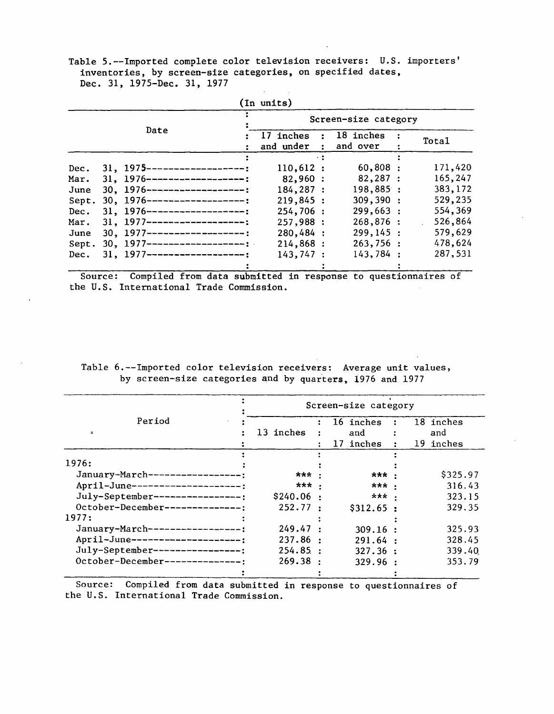Table 5.--Imported complete color television receivers: U.S. importers' inventories, by screen-size categories, on specified dates, Dec. 31, 1975-Dec. 31, 1977

| (In units) |      |                                  |                            |            |                       |  |         |  |  |  |  |
|------------|------|----------------------------------|----------------------------|------------|-----------------------|--|---------|--|--|--|--|
|            |      |                                  | Screen-size category       |            |                       |  |         |  |  |  |  |
|            | Date |                                  | $:$ 17 inches<br>and under | $\sim 200$ | 18 inches<br>and over |  | Total   |  |  |  |  |
|            |      |                                  | $\sim 2$                   |            |                       |  |         |  |  |  |  |
| Dec.       |      | $31, 1975$ --------------------- | 110,612:                   |            | $60,808$ :            |  | 171,420 |  |  |  |  |
| Mar.       |      | $31, 1976$ --------------------  | 82,960:                    |            | 82,287 :              |  | 165,247 |  |  |  |  |
| June       |      | $30.1976$ --------------------   | 184,287 :                  |            | 198,885:              |  | 383,172 |  |  |  |  |
| Sept.      |      | $30, 1976$ --------------------: | 219,845:                   |            | 309,390:              |  | 529,235 |  |  |  |  |
| Dec.       |      | $31, 1976$ -------------------:  | 254,706:                   |            | 299,663:              |  | 554,369 |  |  |  |  |
| Mar.       |      | $31, 1977$ --------------------: | 257,988:                   |            | 268,876:              |  | 526,864 |  |  |  |  |
| June       |      | $30.1977$ -------------------:   | 280,484 :                  |            | 299, 145:             |  | 579,629 |  |  |  |  |
| Sept.      |      | $30.1977$ --------------------:  | 214,868:                   |            | 263,756:              |  | 478,624 |  |  |  |  |
| Dec.       |      | $31, 1977$ --------------------; | 143,747:                   |            | 143,784:              |  | 287,531 |  |  |  |  |
|            |      |                                  |                            |            |                       |  |         |  |  |  |  |

Source: Compiled from data submitted in response to questionnaires of the U.S. International Trade Commission.

#### Table 6.--Imported color television receivers: Average unit values, by screen-size categories and by quarters, 1976 and 1977

|                                      | Screen-size category |                |    |           |                      |           |  |  |  |  |
|--------------------------------------|----------------------|----------------|----|-----------|----------------------|-----------|--|--|--|--|
| Period                               |                      |                |    | 16 inches |                      | 18 inches |  |  |  |  |
| ۰                                    | 13 inches            |                |    | and       |                      | and       |  |  |  |  |
|                                      |                      |                | 17 | inches    | $\ddot{\phantom{a}}$ | 19 inches |  |  |  |  |
|                                      |                      |                |    |           |                      |           |  |  |  |  |
| 1976:                                |                      |                |    |           |                      |           |  |  |  |  |
| January-March--------                | ***                  |                |    | *** .     |                      | \$325.97  |  |  |  |  |
| April-June--------------------;      | ***                  |                |    | *** .     |                      | 316.43    |  |  |  |  |
| July-September----------------:      | \$240.06             |                |    | ***       |                      | 323.15    |  |  |  |  |
| October-December---------------      | 252.77               | $\ddot{\cdot}$ |    | \$312.65: |                      | 329.35    |  |  |  |  |
| 1977:                                |                      |                |    |           |                      |           |  |  |  |  |
| January-March-<br>----------------   | 249.47               |                |    | 309.16:   |                      | 325.93    |  |  |  |  |
| April-June--<br>-------------------- | 237.86               | $\cdot$        |    | 291.64:   |                      | 328.45    |  |  |  |  |
| July-September-<br>---------------!  | 254.85:              |                |    | 327.36:   |                      | 339.40    |  |  |  |  |
| October-December--------------:      | 269.38               | $\bullet$      |    | 329.96:   |                      | 353.79    |  |  |  |  |
|                                      |                      |                |    |           |                      |           |  |  |  |  |

Source: Compiled from data submitted in response to questionnaires of the U.S. International Trade Commission.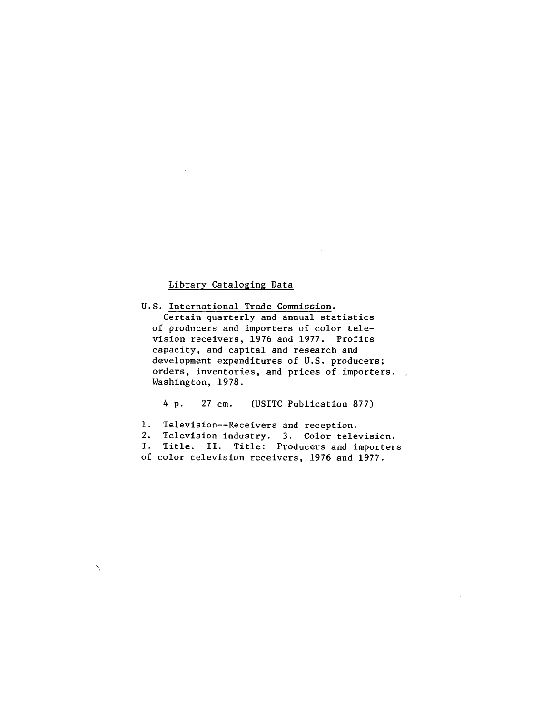#### Library Cataloging Data

 $\checkmark$ 

U.S. International Trade Commission. Certain quarterly and annual statistics of producers and importers of color television receivers, 1976 and 1977. Profits capacity, and capital and research and development expenditures of U.S. producers; orders, inventories, and prices of importers. Washington, 1978.

4 p. 27 cm. (USITC Publication 877)

1. Television--Receivers and reception. 2. Television industry. 3. Color television. I. Title. II. Title: Producers and importers of color television receivers, 1976 and 1977.